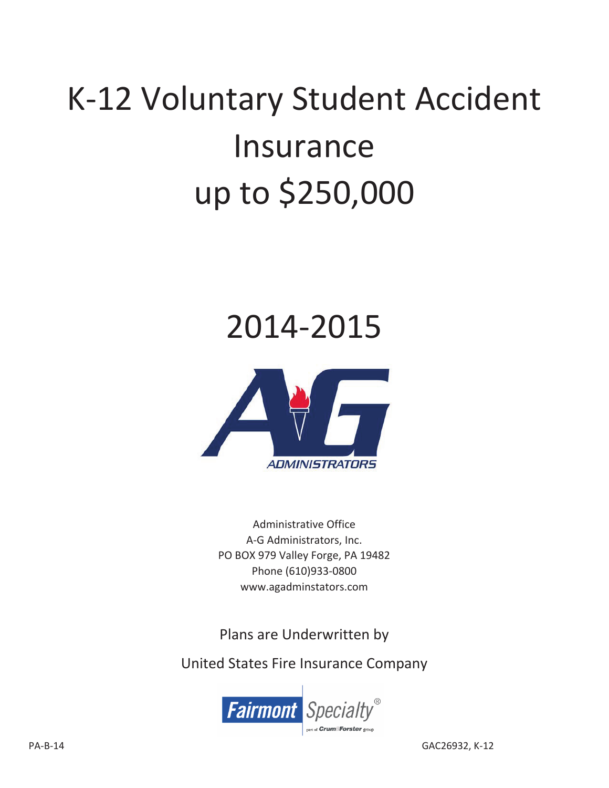# K-12 Voluntary Student Accident Insurance up to \$250,000

## 2014Ͳ2015



Administrative Office A-G Administrators, Inc. PO BOX 979 Valley Forge, PA 19482 Phone (610)933-0800 www.agadminstators.com

Plans are Underwritten by

United States Fire Insurance Company

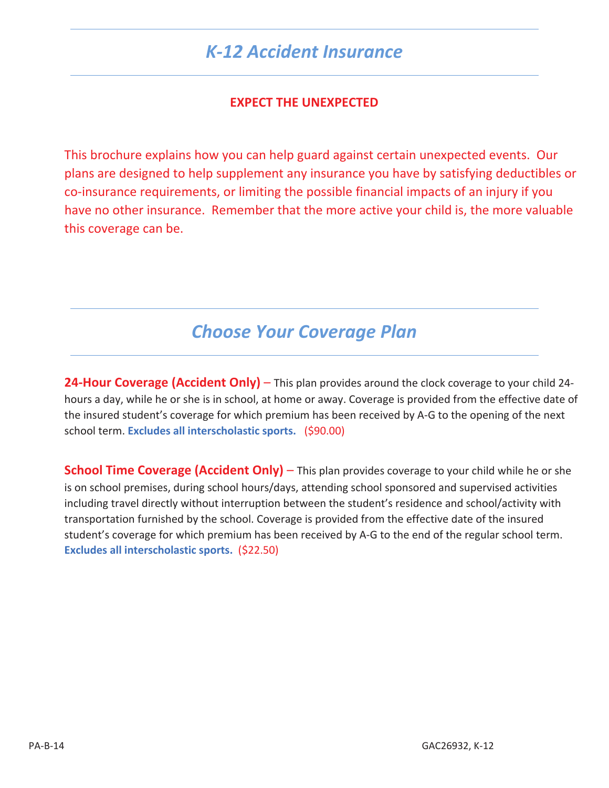## *K-12 Accident Insurance*

#### **EXPECT THE UNEXPECTED**

This brochure explains how you can help guard against certain unexpected events. Our plans are designed to help supplement any insurance you have by satisfying deductibles or co-insurance requirements, or limiting the possible financial impacts of an injury if you have no other insurance. Remember that the more active your child is, the more valuable this coverage can be.

## *Choose Your Coverage Plan*

**24-Hour Coverage (Accident Only) – This plan provides around the clock coverage to your child 24**hours a day, while he or she is in school, at home or away. Coverage is provided from the effective date of the insured student's coverage for which premium has been received by A-G to the opening of the next school term. **Excludes all interscholastic sports.** (\$90.00)

**School Time Coverage (Accident Only)** – This plan provides coverage to your child while he or she is on school premises, during school hours/days, attending school sponsored and supervised activities including travel directly without interruption between the student's residence and school/activity with transportation furnished by the school. Coverage is provided from the effective date of the insured student's coverage for which premium has been received by A-G to the end of the regular school term. **Excludes all interscholastic sports.** (\$22.50)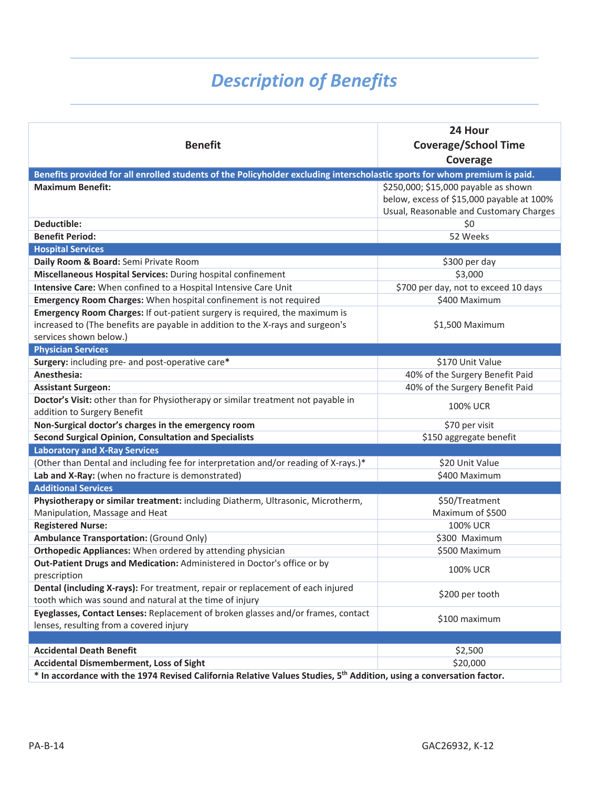## *Description of Benefits*

| <b>Benefit</b>                                                                                                                             | 24 Hour<br><b>Coverage/School Time</b><br>Coverage |
|--------------------------------------------------------------------------------------------------------------------------------------------|----------------------------------------------------|
| Benefits provided for all enrolled students of the Policyholder excluding interscholastic sports for whom premium is paid.                 |                                                    |
| <b>Maximum Benefit:</b>                                                                                                                    | \$250,000; \$15,000 payable as shown               |
|                                                                                                                                            | below, excess of \$15,000 payable at 100%          |
|                                                                                                                                            | Usual, Reasonable and Customary Charges            |
| Deductible:                                                                                                                                | \$0                                                |
| <b>Benefit Period:</b>                                                                                                                     | 52 Weeks                                           |
| <b>Hospital Services</b>                                                                                                                   |                                                    |
| Daily Room & Board: Semi Private Room                                                                                                      | \$300 per day                                      |
| Miscellaneous Hospital Services: During hospital confinement                                                                               | \$3,000                                            |
| Intensive Care: When confined to a Hospital Intensive Care Unit                                                                            | \$700 per day, not to exceed 10 days               |
| Emergency Room Charges: When hospital confinement is not required                                                                          | \$400 Maximum                                      |
| Emergency Room Charges: If out-patient surgery is required, the maximum is                                                                 |                                                    |
| increased to (The benefits are payable in addition to the X-rays and surgeon's                                                             | \$1,500 Maximum                                    |
| services shown below.)                                                                                                                     |                                                    |
| <b>Physician Services</b>                                                                                                                  |                                                    |
| Surgery: including pre- and post-operative care*                                                                                           | \$170 Unit Value                                   |
| Anesthesia:                                                                                                                                | 40% of the Surgery Benefit Paid                    |
| <b>Assistant Surgeon:</b>                                                                                                                  | 40% of the Surgery Benefit Paid                    |
| Doctor's Visit: other than for Physiotherapy or similar treatment not payable in                                                           | <b>100% UCR</b>                                    |
| addition to Surgery Benefit                                                                                                                |                                                    |
| Non-Surgical doctor's charges in the emergency room                                                                                        | \$70 per visit                                     |
| <b>Second Surgical Opinion, Consultation and Specialists</b>                                                                               | \$150 aggregate benefit                            |
| <b>Laboratory and X-Ray Services</b>                                                                                                       |                                                    |
| (Other than Dental and including fee for interpretation and/or reading of X-rays.)*                                                        | \$20 Unit Value                                    |
| Lab and X-Ray: (when no fracture is demonstrated)                                                                                          | \$400 Maximum                                      |
| <b>Additional Services</b>                                                                                                                 |                                                    |
| Physiotherapy or similar treatment: including Diatherm, Ultrasonic, Microtherm,                                                            | \$50/Treatment                                     |
| Manipulation, Massage and Heat                                                                                                             | Maximum of \$500                                   |
| <b>Registered Nurse:</b>                                                                                                                   | <b>100% UCR</b>                                    |
| <b>Ambulance Transportation: (Ground Only)</b>                                                                                             | \$300 Maximum                                      |
| Orthopedic Appliances: When ordered by attending physician                                                                                 | \$500 Maximum                                      |
| Out-Patient Drugs and Medication: Administered in Doctor's office or by<br>prescription                                                    | <b>100% UCR</b>                                    |
| Dental (including X-rays): For treatment, repair or replacement of each injured<br>tooth which was sound and natural at the time of injury | \$200 per tooth                                    |
| Eyeglasses, Contact Lenses: Replacement of broken glasses and/or frames, contact<br>lenses, resulting from a covered injury                | \$100 maximum                                      |
|                                                                                                                                            |                                                    |
| <b>Accidental Death Benefit</b>                                                                                                            | \$2,500                                            |
| <b>Accidental Dismemberment, Loss of Sight</b>                                                                                             | \$20,000                                           |
| * In accordance with the 1974 Revised California Relative Values Studies, 5th Addition, using a conversation factor.                       |                                                    |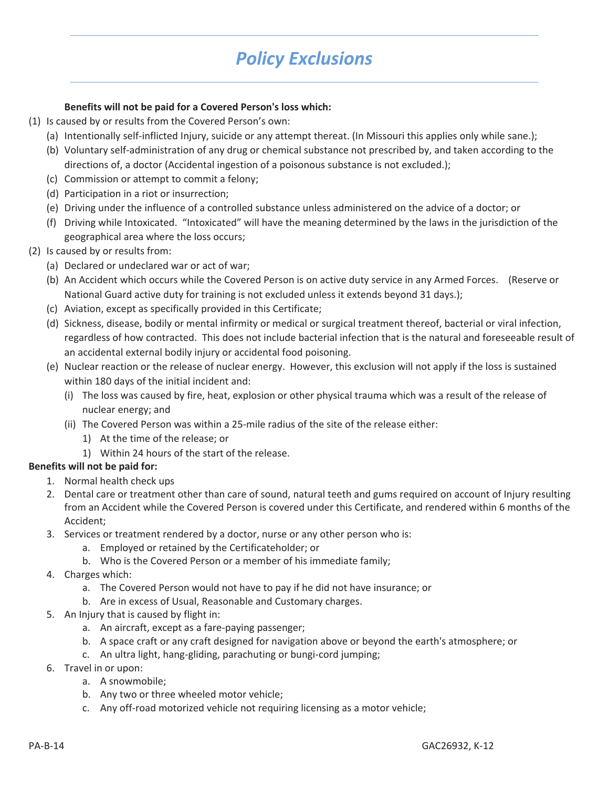## *Policy Exclusions*

#### **Benefits will not be paid for a Covered Person's loss which:**

- (1) Is caused by or results from the Covered Person's own:
	- (a) Intentionally self-inflicted Injury, suicide or any attempt thereat. (In Missouri this applies only while sane.);
	- (b) Voluntary self-administration of any drug or chemical substance not prescribed by, and taken according to the directions of, a doctor (Accidental ingestion of a poisonous substance is not excluded.);
	- (c) Commission or attempt to commit a felony;
	- (d) Participation in a riot or insurrection;
	- (e) Driving under the influence of a controlled substance unless administered on the advice of a doctor; or
	- (f) Driving while Intoxicated."Intoxicated" will have the meaning determined by the laws in the jurisdiction of the geographical area where the loss occurs;
- (2) Is caused by or results from:
	- (a) Declared or undeclared war or act of war;
	- (b) An Accident which occurs while the Covered Person is on active duty service in any Armed Forces. (Reserve or National Guard active duty for training is not excluded unless it extends beyond 31 days.);
	- (c) Aviation, except as specifically provided in this Certificate;
	- (d) Sickness, disease, bodily or mental infirmity or medical or surgical treatment thereof, bacterial or viral infection, regardless of how contracted. This does not include bacterial infection that is the natural and foreseeable result of an accidental external bodily injury or accidental food poisoning.
	- (e) Nuclear reaction or the release of nuclear energy. However, this exclusion will not apply if the loss is sustained within 180 days of the initial incident and:
		- (i) The loss was caused by fire, heat, explosion or other physical trauma which was a result of the release of nuclear energy; and
		- (ii) The Covered Person was within a 25-mile radius of the site of the release either:
			- 1) At the time of the release; or
			- 1) Within 24 hours of the start of the release.

#### **Benefits will not be paid for:**

- 1. Normal health check ups
- 2. Dental care or treatment other than care of sound, natural teeth and gums required on account of Injury resulting from an Accident while the Covered Person is covered under this Certificate, and rendered within 6 months of the Accident;
- 3. Services or treatment rendered by a doctor, nurse or any other person who is:
	- a. Employed or retained by the Certificateholder; or
	- b. Who is the Covered Person or a member of his immediate family;
- 4. Charges which:
	- a. The Covered Person would not have to pay if he did not have insurance; or
	- b. Are in excess of Usual, Reasonable and Customary charges.
- 5. An Injury that is caused by flight in:
	- a. An aircraft, except as a fare-paying passenger;
	- b. A space craft or any craft designed for navigation above or beyond the earth's atmosphere; or
	- c. An ultra light, hang-gliding, parachuting or bungi-cord jumping;
- 6. Travel in or upon:
	- a. A snowmobile;
	- b. Any two or three wheeled motor vehicle;
	- c. Any off-road motorized vehicle not requiring licensing as a motor vehicle;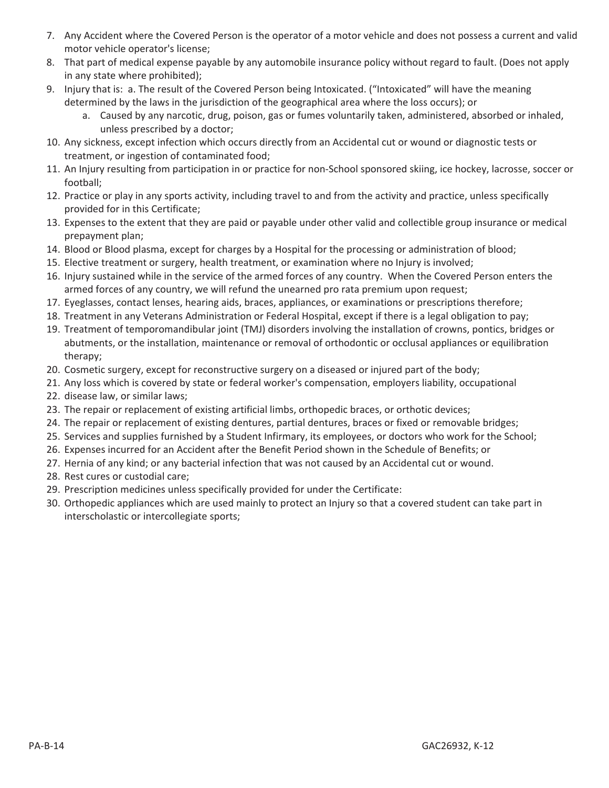- 7. Any Accident where the Covered Person is the operator of a motor vehicle and does not possess a current and valid motor vehicle operator's license;
- 8. That part of medical expense payable by any automobile insurance policy without regard to fault. (Does not apply in any state where prohibited);
- 9. Injury that is: a. The result of the Covered Person being Intoxicated. ("Intoxicated" will have the meaning determined by the laws in the jurisdiction of the geographical area where the loss occurs); or
	- a. Caused by any narcotic, drug, poison, gas or fumes voluntarily taken, administered, absorbed or inhaled, unless prescribed by a doctor;
- 10. Any sickness, except infection which occurs directly from an Accidental cut or wound or diagnostic tests or treatment, or ingestion of contaminated food;
- 11. An Injury resulting from participation in or practice for non-School sponsored skiing, ice hockey, lacrosse, soccer or football;
- 12. Practice or play in any sports activity, including travel to and from the activity and practice, unless specifically provided for in this Certificate;
- 13. Expenses to the extent that they are paid or payable under other valid and collectible group insurance or medical prepayment plan;
- 14. Blood or Blood plasma, except for charges by a Hospital for the processing or administration of blood;
- 15. Elective treatment or surgery, health treatment, or examination where no Injury is involved;
- 16. Injury sustained while in the service of the armed forces of any country.When the Covered Person enters the armed forces of any country, we will refund the unearned pro rata premium upon request;
- 17. Eyeglasses, contact lenses, hearing aids, braces, appliances, or examinations or prescriptions therefore;
- 18. Treatment in any Veterans Administration or Federal Hospital, except if there is a legal obligation to pay;
- 19. Treatment of temporomandibular joint (TMJ) disorders involving the installation of crowns, pontics, bridges or abutments, or the installation, maintenance or removal of orthodontic or occlusal appliances or equilibration therapy;
- 20. Cosmetic surgery, except for reconstructive surgery on a diseased or injured part of the body;
- 21. Any loss which is covered by state or federal worker's compensation, employers liability, occupational
- 22. disease law, or similar laws;
- 23. The repair or replacement of existing artificial limbs, orthopedic braces, or orthotic devices;
- 24. The repair or replacement of existing dentures, partial dentures, braces or fixed or removable bridges;
- 25. Services and supplies furnished by a Student Infirmary, its employees, or doctors who work for the School;
- 26. Expenses incurred for an Accident after the Benefit Period shown in the Schedule of Benefits; or
- 27. Hernia of any kind; or any bacterial infection that was not caused by an Accidental cut or wound.
- 28. Rest cures or custodial care;
- 29. Prescription medicines unless specifically provided for under the Certificate:
- 30. Orthopedic appliances which are used mainly to protect an Injury so that a covered student can take part in interscholastic or intercollegiate sports;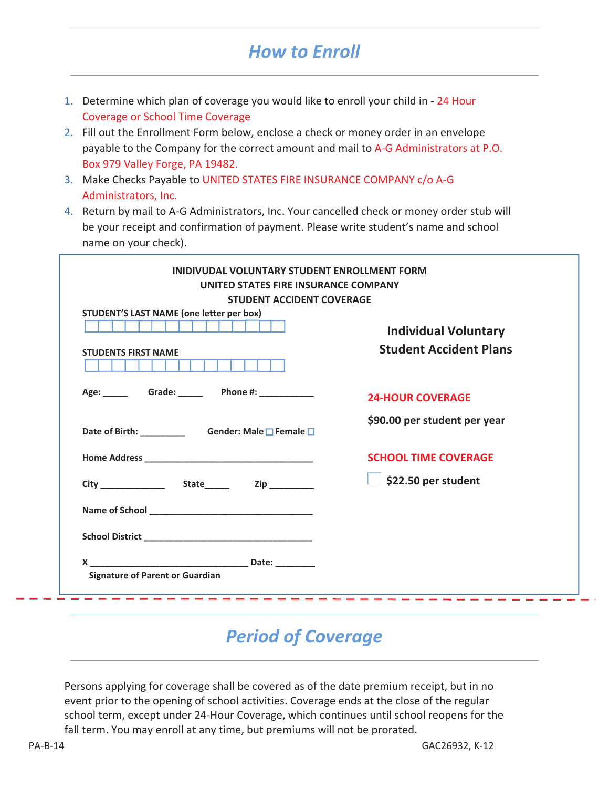## *How to Enroll*

- 1. Determine which plan of coverage you would like to enroll your child in 24 Hour Coverage or School Time Coverage
- 2. Fill out the Enrollment Form below, enclose a check or money order in an envelope payable to the Company for the correct amount and mail to A-G Administrators at P.O. Box 979 Valley Forge, PA 19482.
- 3. Make Checks Payable to UNITED STATES FIRE INSURANCE COMPANY c/o A-G Administrators, Inc.
- 4. Return by mail to A-G Administrators, Inc. Your cancelled check or money order stub will be your receipt and confirmation of payment. Please write student's name and school name on your check).

| STUDENT'S LAST NAME (one letter per box) |                                   |
|------------------------------------------|-----------------------------------|
|                                          | <b>Individual Voluntary</b>       |
| <b>STUDENTS FIRST NAME</b>               | <b>Student Accident Plans</b>     |
|                                          | <b>24-HOUR COVERAGE</b>           |
|                                          | \$90.00 per student per year      |
|                                          | <b>SCHOOL TIME COVERAGE</b>       |
|                                          | $\frac{1}{2}$ \$22.50 per student |
| Name of School <b>Name of School</b>     |                                   |
|                                          |                                   |
|                                          |                                   |

## *Period of Coverage*

Persons applying for coverage shall be covered as of the date premium receipt, but in no event prior to the opening of school activities. Coverage ends at the close of the regular school term, except under 24-Hour Coverage, which continues until school reopens for the fall term. You may enroll at any time, but premiums will not be prorated.